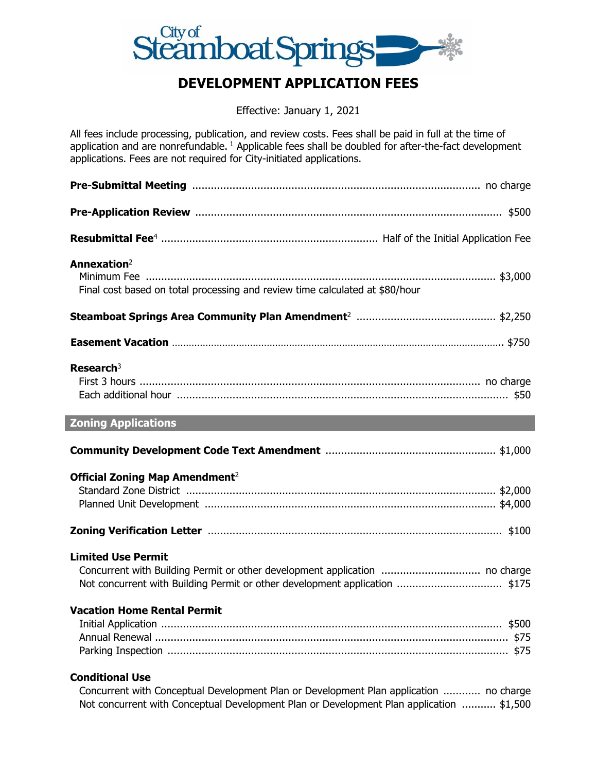

## **DEVELOPMENT APPLICATION FEES**

Effective: January 1, 2021

All fees include processing, publication, and review costs. Fees shall be paid in full at the time of application and are nonrefundable.<sup>1</sup> Applicable fees shall be doubled for after-the-fact development applications. Fees are not required for City-initiated applications.

| Annexation <sup>2</sup><br>Final cost based on total processing and review time calculated at \$80/hour          |
|------------------------------------------------------------------------------------------------------------------|
|                                                                                                                  |
|                                                                                                                  |
| Research <sup>3</sup>                                                                                            |
| <b>Zoning Applications</b><br><b>Service Service</b>                                                             |
|                                                                                                                  |
| <b>Official Zoning Map Amendment</b> <sup>2</sup>                                                                |
|                                                                                                                  |
| <b>Limited Use Permit</b>                                                                                        |
| <b>Vacation Home Rental Permit</b>                                                                               |
| <b>Conditional Use</b><br>Concurrent with Conceptual Development Plan or Development Plan application  no charge |

Not concurrent with Conceptual Development Plan or Development Plan application ........... \$1,500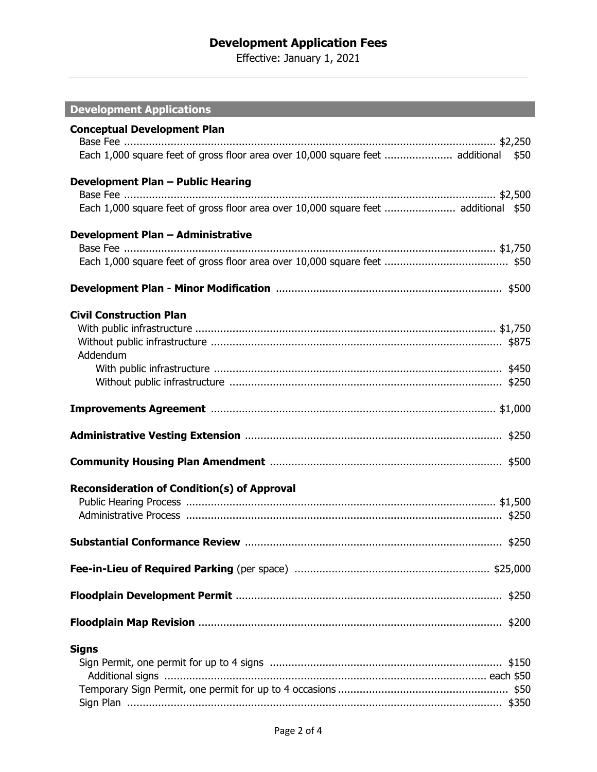# **Development Application Fees**

Effective: January 1, 2021

| <b>Development Applications</b>                                                     |
|-------------------------------------------------------------------------------------|
| <b>Conceptual Development Plan</b>                                                  |
| Each 1,000 square feet of gross floor area over 10,000 square feet  additional \$50 |
| Development Plan - Public Hearing                                                   |
| Each 1,000 square feet of gross floor area over 10,000 square feet  additional \$50 |
| Development Plan - Administrative                                                   |
|                                                                                     |
|                                                                                     |
| <b>Civil Construction Plan</b>                                                      |
| Addendum                                                                            |
|                                                                                     |
|                                                                                     |
|                                                                                     |
|                                                                                     |
| <b>Reconsideration of Condition(s) of Approval</b>                                  |
|                                                                                     |
|                                                                                     |
|                                                                                     |
|                                                                                     |
|                                                                                     |
| <b>Signs</b>                                                                        |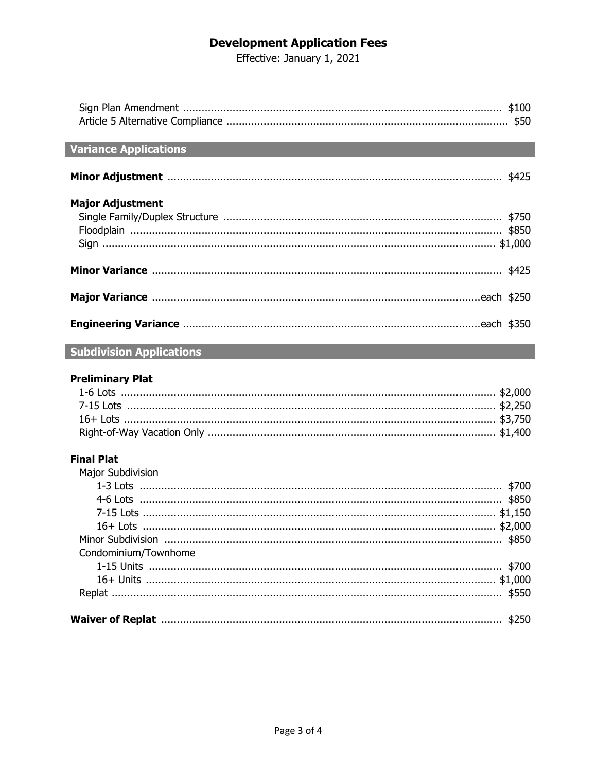## **Development Application Fees**

Effective: January 1, 2021

## **Variance Applications**

|--|--|--|

| <b>Major Adjustment</b> |  |
|-------------------------|--|
|                         |  |
|                         |  |
|                         |  |
|                         |  |
|                         |  |
|                         |  |

# **Subdivision Applications**

### **Preliminary Plat**

### **Final Plat**

| <b>Major Subdivision</b> |  |
|--------------------------|--|
|                          |  |
|                          |  |
|                          |  |
|                          |  |
|                          |  |
| Condominium/Townhome     |  |
|                          |  |
|                          |  |
|                          |  |
|                          |  |
|                          |  |
|                          |  |